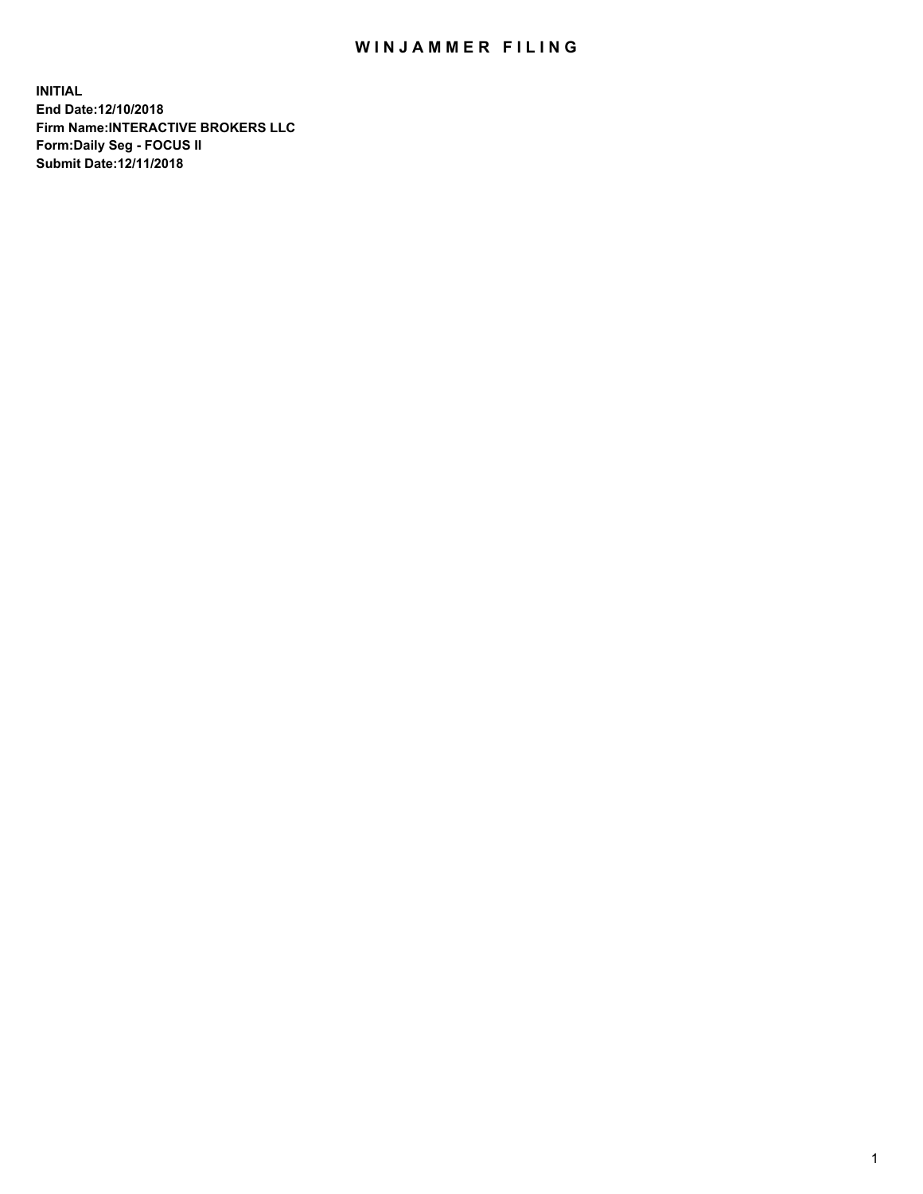## WIN JAMMER FILING

**INITIAL End Date:12/10/2018 Firm Name:INTERACTIVE BROKERS LLC Form:Daily Seg - FOCUS II Submit Date:12/11/2018**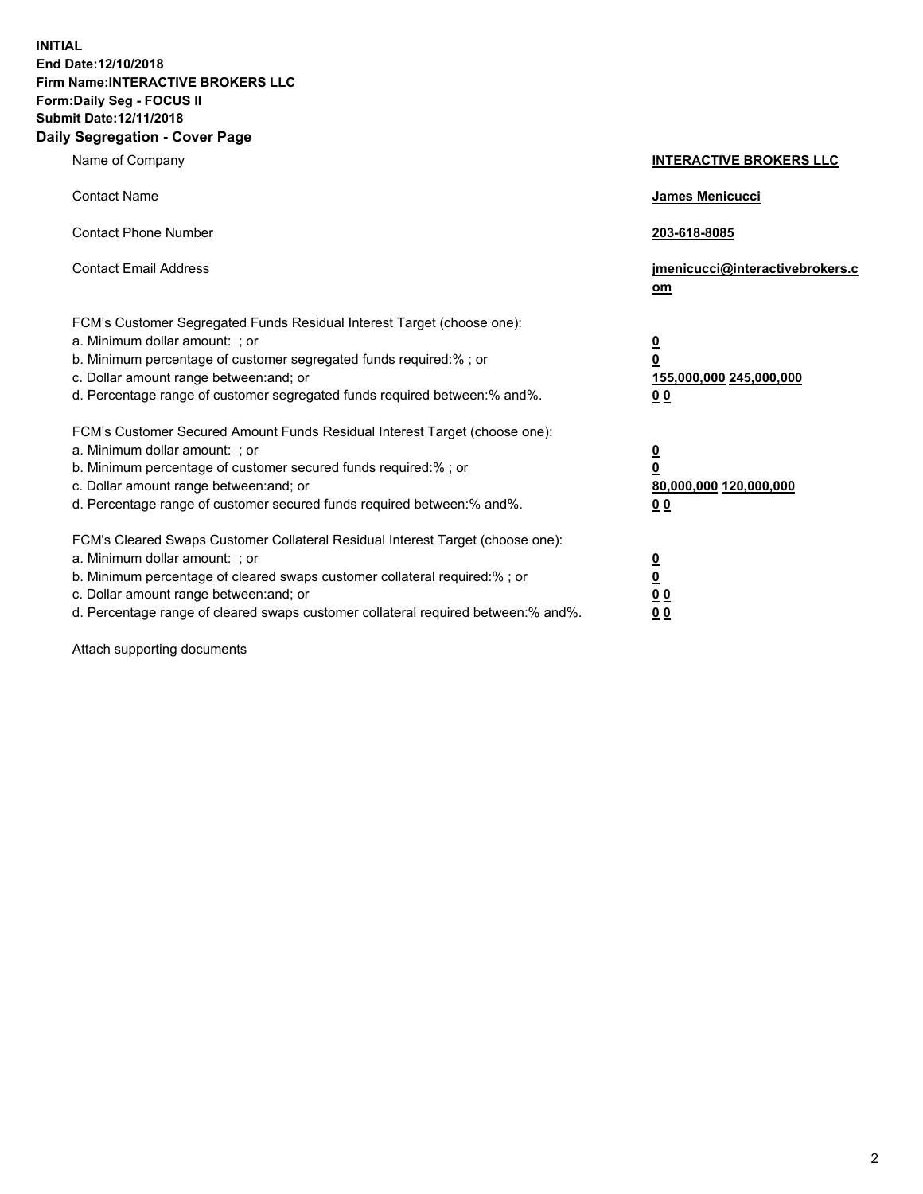**INITIAL End Date:12/10/2018 Firm Name:INTERACTIVE BROKERS LLC Form:Daily Seg - FOCUS II Submit Date:12/11/2018 Daily Segregation - Cover Page**

| Name of Company                                                                                                                                                                                                                                                                                                                | <b>INTERACTIVE BROKERS LLC</b>                                                                  |
|--------------------------------------------------------------------------------------------------------------------------------------------------------------------------------------------------------------------------------------------------------------------------------------------------------------------------------|-------------------------------------------------------------------------------------------------|
| <b>Contact Name</b>                                                                                                                                                                                                                                                                                                            | James Menicucci                                                                                 |
| <b>Contact Phone Number</b>                                                                                                                                                                                                                                                                                                    | 203-618-8085                                                                                    |
| <b>Contact Email Address</b>                                                                                                                                                                                                                                                                                                   | jmenicucci@interactivebrokers.c<br>om                                                           |
| FCM's Customer Segregated Funds Residual Interest Target (choose one):<br>a. Minimum dollar amount: ; or<br>b. Minimum percentage of customer segregated funds required:%; or<br>c. Dollar amount range between: and; or<br>d. Percentage range of customer segregated funds required between:% and%.                          | $\overline{\mathbf{0}}$<br>$\overline{\mathbf{0}}$<br>155,000,000 245,000,000<br>0 <sub>0</sub> |
| FCM's Customer Secured Amount Funds Residual Interest Target (choose one):<br>a. Minimum dollar amount: ; or<br>b. Minimum percentage of customer secured funds required:% ; or<br>c. Dollar amount range between: and; or<br>d. Percentage range of customer secured funds required between:% and%.                           | $\overline{\mathbf{0}}$<br>$\overline{\mathbf{0}}$<br>80,000,000 120,000,000<br>0 <sub>0</sub>  |
| FCM's Cleared Swaps Customer Collateral Residual Interest Target (choose one):<br>a. Minimum dollar amount: ; or<br>b. Minimum percentage of cleared swaps customer collateral required:% ; or<br>c. Dollar amount range between: and; or<br>d. Percentage range of cleared swaps customer collateral required between:% and%. | $\overline{\mathbf{0}}$<br>$\underline{\mathbf{0}}$<br>0 <sub>0</sub><br>0 <sub>0</sub>         |

Attach supporting documents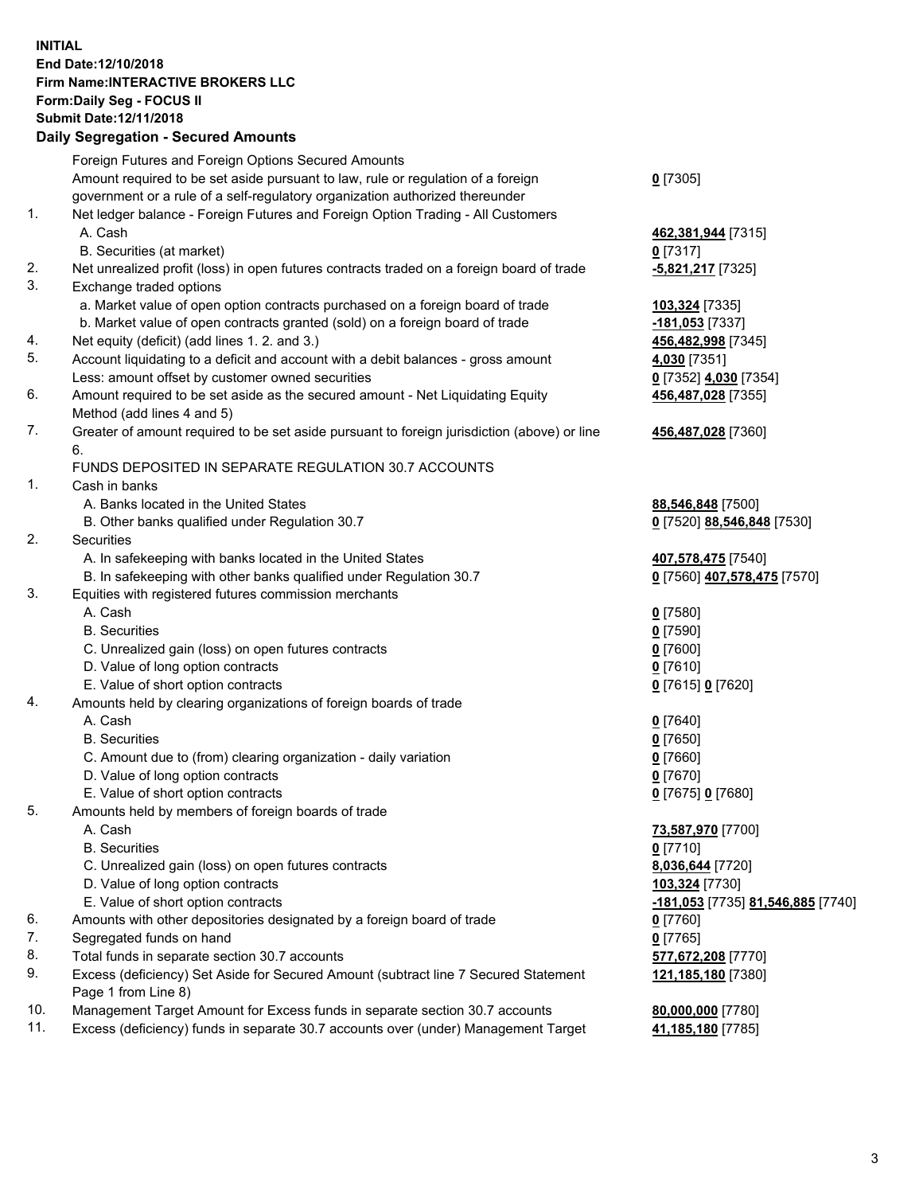## **INITIAL End Date:12/10/2018 Firm Name:INTERACTIVE BROKERS LLC Form:Daily Seg - FOCUS II Submit Date:12/11/2018 Daily Segregation - Secured Amounts**

|     | Daily Segregation - Secured Amounts                                                         |                                                 |
|-----|---------------------------------------------------------------------------------------------|-------------------------------------------------|
|     | Foreign Futures and Foreign Options Secured Amounts                                         |                                                 |
|     | Amount required to be set aside pursuant to law, rule or regulation of a foreign            | $0$ [7305]                                      |
|     | government or a rule of a self-regulatory organization authorized thereunder                |                                                 |
| 1.  | Net ledger balance - Foreign Futures and Foreign Option Trading - All Customers             |                                                 |
|     | A. Cash                                                                                     | 462,381,944 [7315]                              |
|     | B. Securities (at market)                                                                   | $0$ [7317]                                      |
| 2.  | Net unrealized profit (loss) in open futures contracts traded on a foreign board of trade   | -5,821,217 [7325]                               |
| 3.  | Exchange traded options                                                                     |                                                 |
|     | a. Market value of open option contracts purchased on a foreign board of trade              | 103,324 [7335]                                  |
|     | b. Market value of open contracts granted (sold) on a foreign board of trade                | -181,053 [7337]                                 |
| 4.  | Net equity (deficit) (add lines 1. 2. and 3.)                                               | 456,482,998 [7345]                              |
| 5.  | Account liquidating to a deficit and account with a debit balances - gross amount           | 4,030 [7351]                                    |
|     | Less: amount offset by customer owned securities                                            | 0 [7352] 4,030 [7354]                           |
| 6.  | Amount required to be set aside as the secured amount - Net Liquidating Equity              | 456,487,028 [7355]                              |
|     | Method (add lines 4 and 5)                                                                  |                                                 |
| 7.  | Greater of amount required to be set aside pursuant to foreign jurisdiction (above) or line | 456,487,028 [7360]                              |
|     | 6.                                                                                          |                                                 |
|     | FUNDS DEPOSITED IN SEPARATE REGULATION 30.7 ACCOUNTS                                        |                                                 |
| 1.  | Cash in banks                                                                               |                                                 |
|     | A. Banks located in the United States                                                       | 88,546,848 [7500]                               |
|     | B. Other banks qualified under Regulation 30.7                                              | 0 [7520] 88,546,848 [7530]                      |
| 2.  | Securities                                                                                  |                                                 |
|     | A. In safekeeping with banks located in the United States                                   | 407,578,475 [7540]                              |
|     | B. In safekeeping with other banks qualified under Regulation 30.7                          | 0 [7560] 407,578,475 [7570]                     |
| 3.  | Equities with registered futures commission merchants                                       |                                                 |
|     | A. Cash                                                                                     | $0$ [7580]                                      |
|     | <b>B.</b> Securities                                                                        | $0$ [7590]                                      |
|     | C. Unrealized gain (loss) on open futures contracts                                         | $0$ [7600]                                      |
|     | D. Value of long option contracts                                                           | $0$ [7610]                                      |
|     | E. Value of short option contracts                                                          | 0 [7615] 0 [7620]                               |
| 4.  | Amounts held by clearing organizations of foreign boards of trade                           |                                                 |
|     | A. Cash                                                                                     | $0$ [7640]                                      |
|     | <b>B.</b> Securities                                                                        | $0$ [7650]                                      |
|     | C. Amount due to (from) clearing organization - daily variation                             | $0$ [7660]                                      |
|     | D. Value of long option contracts                                                           | $0$ [7670]                                      |
|     | E. Value of short option contracts                                                          | 0 [7675] 0 [7680]                               |
| 5.  | Amounts held by members of foreign boards of trade                                          |                                                 |
|     | A. Cash                                                                                     | 73,587,970 [7700]                               |
|     | <b>B.</b> Securities                                                                        | $0$ [7710]                                      |
|     | C. Unrealized gain (loss) on open futures contracts                                         | 8,036,644 [7720]                                |
|     | D. Value of long option contracts                                                           | 103,324 [7730]                                  |
|     | E. Value of short option contracts                                                          | <u>-181,053</u> [7735] <u>81,546,885</u> [7740] |
| 6.  | Amounts with other depositories designated by a foreign board of trade                      | $0$ [7760]                                      |
| 7.  | Segregated funds on hand                                                                    | $0$ [7765]                                      |
| 8.  | Total funds in separate section 30.7 accounts                                               | 577,672,208 [7770]                              |
| 9.  | Excess (deficiency) Set Aside for Secured Amount (subtract line 7 Secured Statement         | 121,185,180 [7380]                              |
|     | Page 1 from Line 8)                                                                         |                                                 |
| 10. | Management Target Amount for Excess funds in separate section 30.7 accounts                 | 80,000,000 [7780]                               |
| 11. | Excess (deficiency) funds in separate 30.7 accounts over (under) Management Target          | 41,185,180 [7785]                               |
|     |                                                                                             |                                                 |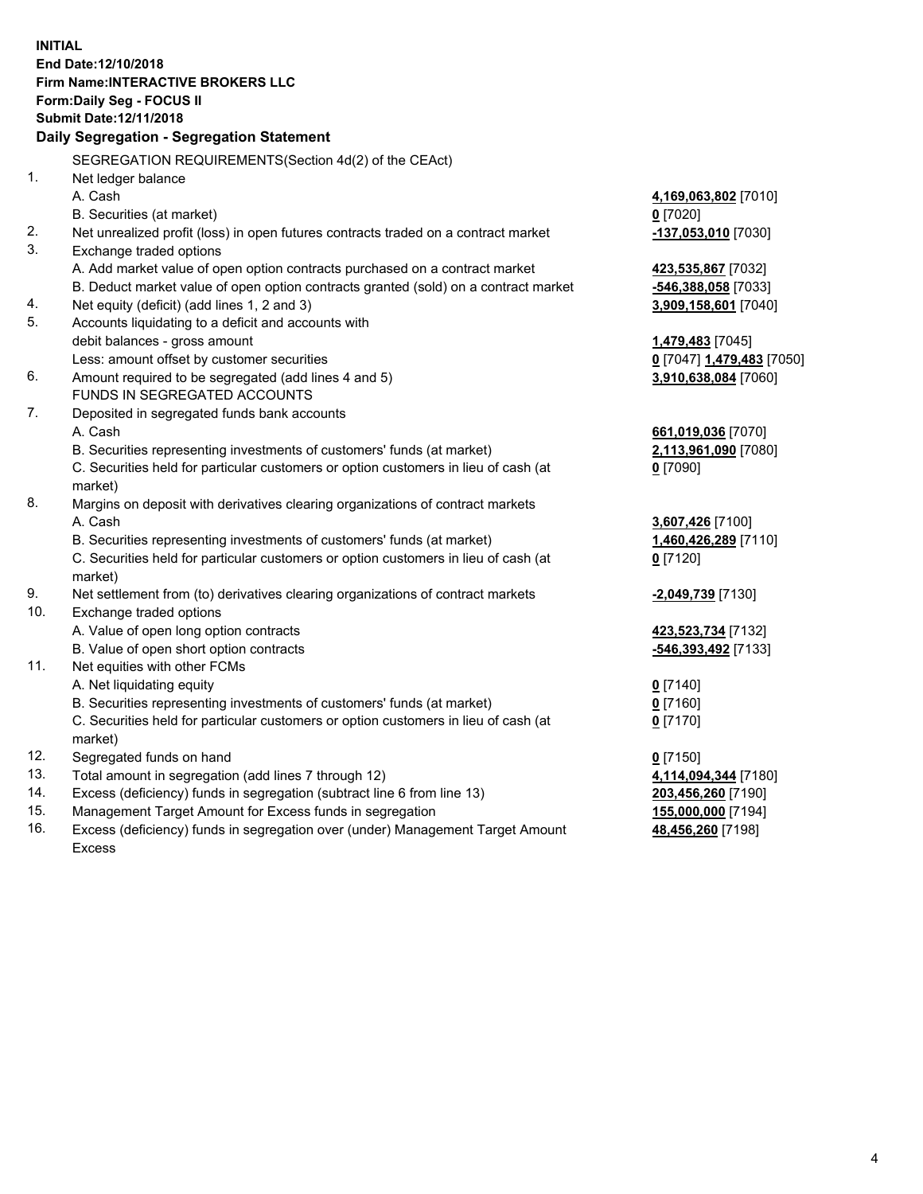**INITIAL End Date:12/10/2018 Firm Name:INTERACTIVE BROKERS LLC Form:Daily Seg - FOCUS II Submit Date:12/11/2018 Daily Segregation - Segregation Statement** SEGREGATION REQUIREMENTS(Section 4d(2) of the CEAct) 1. Net ledger balance A. Cash **4,169,063,802** [7010] B. Securities (at market) **0** [7020] 2. Net unrealized profit (loss) in open futures contracts traded on a contract market **-137,053,010** [7030] 3. Exchange traded options A. Add market value of open option contracts purchased on a contract market **423,535,867** [7032] B. Deduct market value of open option contracts granted (sold) on a contract market **-546,388,058** [7033] 4. Net equity (deficit) (add lines 1, 2 and 3) **3,909,158,601** [7040] 5. Accounts liquidating to a deficit and accounts with debit balances - gross amount **1,479,483** [7045] Less: amount offset by customer securities **0** [7047] **1,479,483** [7050] 6. Amount required to be segregated (add lines 4 and 5) **3,910,638,084** [7060] FUNDS IN SEGREGATED ACCOUNTS 7. Deposited in segregated funds bank accounts A. Cash **661,019,036** [7070] B. Securities representing investments of customers' funds (at market) **2,113,961,090** [7080] C. Securities held for particular customers or option customers in lieu of cash (at market) **0** [7090] 8. Margins on deposit with derivatives clearing organizations of contract markets A. Cash **3,607,426** [7100] B. Securities representing investments of customers' funds (at market) **1,460,426,289** [7110] C. Securities held for particular customers or option customers in lieu of cash (at market) **0** [7120] 9. Net settlement from (to) derivatives clearing organizations of contract markets **-2,049,739** [7130] 10. Exchange traded options A. Value of open long option contracts **423,523,734** [7132] B. Value of open short option contracts **-546,393,492** [7133] 11. Net equities with other FCMs A. Net liquidating equity **0** [7140] B. Securities representing investments of customers' funds (at market) **0** [7160] C. Securities held for particular customers or option customers in lieu of cash (at market) **0** [7170] 12. Segregated funds on hand **0** [7150] 13. Total amount in segregation (add lines 7 through 12) **4,114,094,344** [7180] 14. Excess (deficiency) funds in segregation (subtract line 6 from line 13) **203,456,260** [7190] 15. Management Target Amount for Excess funds in segregation **155,000,000** [7194]

16. Excess (deficiency) funds in segregation over (under) Management Target Amount Excess

**48,456,260** [7198]